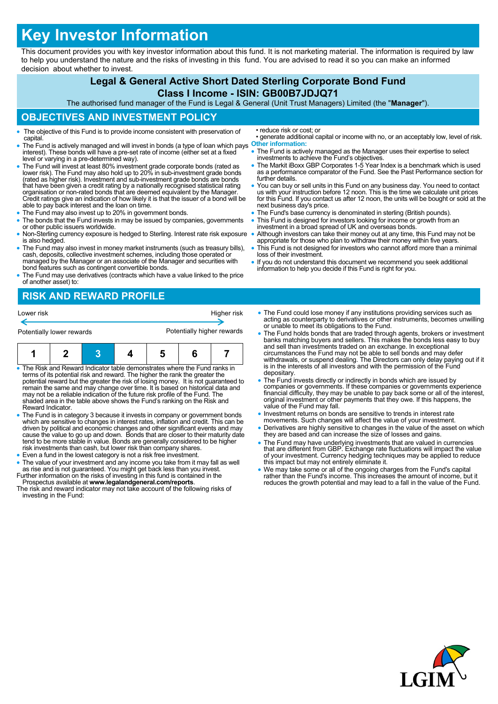# **Key Investor Information**

This document provides you with key investor information about this fund. It is not marketing material. The information is required by law to help you understand the nature and the risks of investing in this fund. You are advised to read it so you can make an informed decision about whether to invest.

## **Legal & General Active Short Dated Sterling Corporate Bond Fund Class I Income - ISIN: GB00B7JDJQ71**

The authorised fund manager of the Fund is Legal & General (Unit Trust Managers) Limited (the "**Manager**").

#### **OBJECTIVES AND INVESTMENT POLICY**

- The objective of this Fund is to provide income consistent with preservation of capital.
- The Fund is actively managed and will invest in bonds (a type of loan which pays interest). These bonds will have a pre-set rate of income (either set at a fixed level or varying in a pre-determined way).
- The Fund will invest at least 80% investment grade corporate bonds (rated as lower risk). The Fund may also hold up to 20% in sub-investment grade bonds (rated as higher risk). Investment and sub-investment grade bonds are bonds that have been given a credit rating by a nationally recognised statistical rating organisation or non-rated bonds that are deemed equivalent by the Manager. Credit ratings give an indication of how likely it is that the issuer of a bond will be able to pay back interest and the loan on time.
- The Fund may also invest up to 20% in government bonds.
- The bonds that the Fund invests in may be issued by companies, governments or other public issuers worldwide.
- Non-Sterling currency exposure is hedged to Sterling. Interest rate risk exposure is also hedged.
- The Fund may also invest in money market instruments (such as treasury bills), cash, deposits, collective investment schemes, including those operated or managed by the Manager or an associate of the Manager and securities with bond features such as contingent convertible bonds.
- The Fund may use derivatives (contracts which have a value linked to the price of another asset) to:

## **RISK AND REWARD PROFILE**

| Lower risk                | Higher risk                |
|---------------------------|----------------------------|
| Potentially lower rewards | Potentially higher rewards |

- The Risk and Reward Indicator table demonstrates where the Fund ranks in terms of its potential risk and reward. The higher the rank the greater the potential reward but the greater the risk of losing money. It is not guaranteed to<br>remain the same and may change over time. It is based on historical data and<br>may not be a reliable indication of the future risk profile of shaded area in the table above shows the Fund's ranking on the Risk and Reward Indicator.
- The Fund is in category 3 because it invests in company or government bonds which are sensitive to changes in interest rates, inflation and credit. This can be driven by political and economic changes and other significant events and may<br>cause the value to go up and down. Bonds that are closer to their maturity date tend to be more stable in value. Bonds are generally considered to be higher risk investments than cash, but lower risk than company shares.
- Even a fund in the lowest category is not a risk free investment.
- The value of your investment and any income you take from it may fall as well as rise and is not guaranteed. You might get back less than you invest. Further information on the risks of investing in this fund is contained in the
- Prospectus available at **www.legalandgeneral.com/reports**. The risk and reward indicator may not take account of the following risks of
- investing in the Fund:
- reduce risk or cost; or
- generate additional capital or income with no, or an acceptably low, level of risk. **Other information:**
- The Fund is actively managed as the Manager uses their expertise to select investments to achieve the Fund's objectives.
- The Markit iBoxx GBP Corporates 1-5 Year Index is a benchmark which is used as a performance comparator of the Fund. See the Past Performance section for further details.
- You can buy or sell units in this Fund on any business day. You need to contact us with your instruction before 12 noon. This is the time we calculate unit prices for this Fund. If you contact us after 12 noon, the units will be bought or sold at the next business day's price.
- The Fund's base currency is denominated in sterling (British pounds).
- This Fund is designed for investors looking for income or growth from an investment in a broad spread of UK and overseas bonds.
- Although investors can take their money out at any time, this Fund may not be appropriate for those who plan to withdraw their money within five years.
- This Fund is not designed for investors who cannot afford more than a minimal loss of their investment.
- If you do not understand this document we recommend you seek additional information to help you decide if this Fund is right for you.
- The Fund could lose money if any institutions providing services such as acting as counterparty to derivatives or other instruments, becomes unwilling or unable to meet its obligations to the Fund.
- The Fund holds bonds that are traded through agents, brokers or investment banks matching buyers and sellers. This makes the bonds less easy to buy and sell than investments traded on an exchange. In exceptional circumstances the Fund may not be able to sell bonds and may defer withdrawals, or suspend dealing. The Directors can only delay paying out if it is in the interests of all investors and with the permission of the Fund depositary.
- The Fund invests directly or indirectly in bonds which are issued by companies or governments. If these companies or governments experience financial difficulty, they may be unable to pay back some or all of the interest, original investment or other payments that they owe. If this happens, the value of the Fund may fall.
- Investment returns on bonds are sensitive to trends in interest rate movements. Such changes will affect the value of your investment.
- Derivatives are highly sensitive to changes in the value of the asset on which they are based and can increase the size of losses and gains.
- The Fund may have underlying investments that are valued in currencies<br>that are different from GBP. Exchange rate fluctuations will impact the value<br>of your investment. Currency hedging techniques may be applied to reduc
- We may take some or all of the ongoing charges from the Fund's capital rather than the Fund's income. This increases the amount of income, but it reduces the growth potential and may lead to a fall in the value of the Fund.